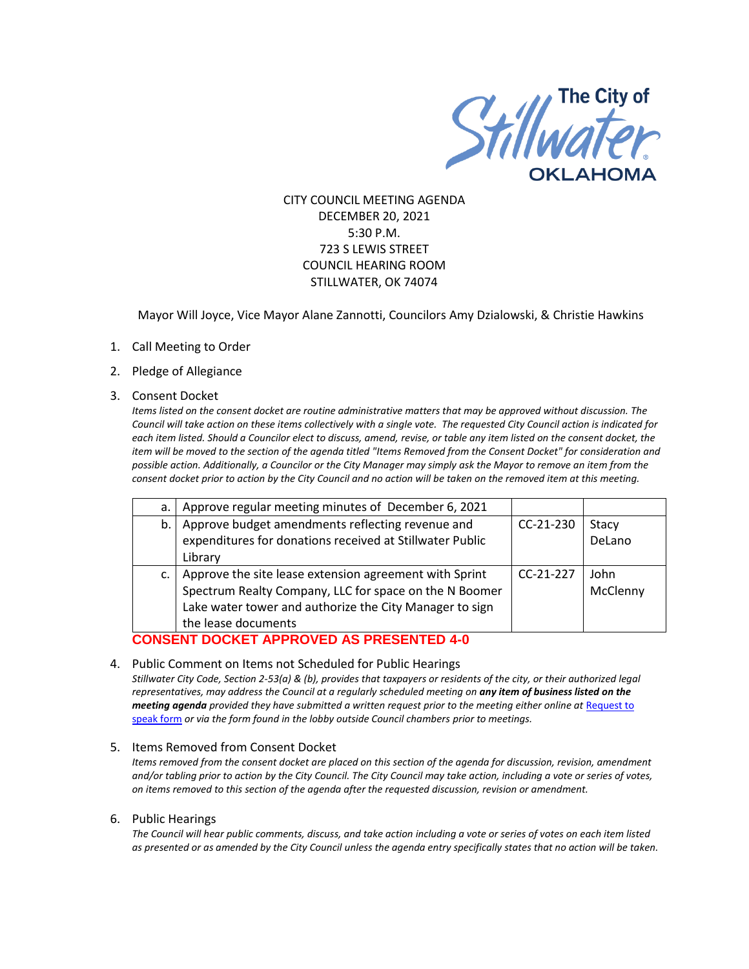

CITY COUNCIL MEETING AGENDA DECEMBER 20, 2021 5:30 P.M. 723 S LEWIS STREET COUNCIL HEARING ROOM STILLWATER, OK 74074

Mayor Will Joyce, Vice Mayor Alane Zannotti, Councilors Amy Dzialowski, & Christie Hawkins

- 1. Call Meeting to Order
- 2. Pledge of Allegiance
- 3. Consent Docket

*Items listed on the consent docket are routine administrative matters that may be approved without discussion. The Council will take action on these items collectively with a single vote. The requested City Council action is indicated for each item listed. Should a Councilor elect to discuss, amend, revise, or table any item listed on the consent docket, the item will be moved to the section of the agenda titled "Items Removed from the Consent Docket" for consideration and possible action. Additionally, a Councilor or the City Manager may simply ask the Mayor to remove an item from the consent docket prior to action by the City Council and no action will be taken on the removed item at this meeting.*

| a. | Approve regular meeting minutes of December 6, 2021      |             |          |
|----|----------------------------------------------------------|-------------|----------|
| b. | Approve budget amendments reflecting revenue and         | $CC-21-230$ | Stacy    |
|    | expenditures for donations received at Stillwater Public |             | DeLano   |
|    | Library                                                  |             |          |
| c. | Approve the site lease extension agreement with Sprint   | $CC-21-227$ | John     |
|    | Spectrum Realty Company, LLC for space on the N Boomer   |             | McClenny |
|    | Lake water tower and authorize the City Manager to sign  |             |          |
|    | the lease documents                                      |             |          |

## **CONSENT DOCKET APPROVED AS PRESENTED 4-0**

#### 4. Public Comment on Items not Scheduled for Public Hearings

*Stillwater City Code, Section 2-53(a) & (b), provides that taxpayers or residents of the city, or their authorized legal representatives, may address the Council at a regularly scheduled meeting on any item of business listed on the meeting agenda provided they have submitted a written request prior to the meeting either online at Request to* [speak form](http://stillwater.org/page/home/government/mayor-city-council/meetings-agendas-minutes/online-request-to-speak-at-city-council) *or via the form found in the lobby outside Council chambers prior to meetings.*

#### 5. Items Removed from Consent Docket

*Items removed from the consent docket are placed on this section of the agenda for discussion, revision, amendment*  and/or tabling prior to action by the City Council. The City Council may take action, including a vote or series of votes, *on items removed to this section of the agenda after the requested discussion, revision or amendment.*

#### 6. Public Hearings

*The Council will hear public comments, discuss, and take action including a vote or series of votes on each item listed as presented or as amended by the City Council unless the agenda entry specifically states that no action will be taken.*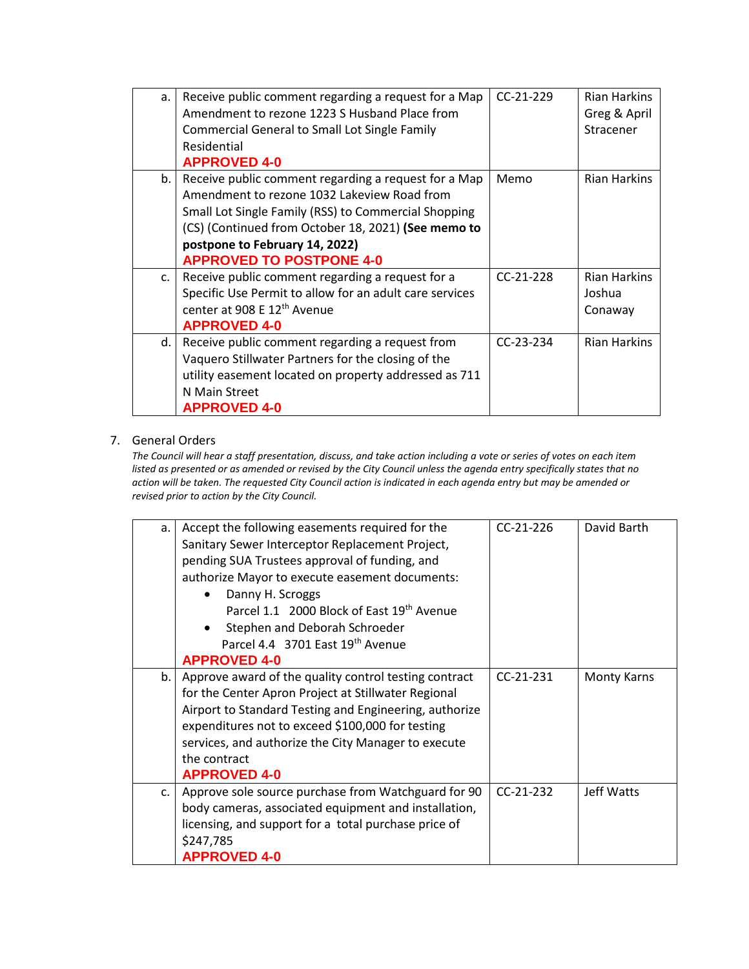| a. | Receive public comment regarding a request for a Map<br>Amendment to rezone 1223 S Husband Place from<br><b>Commercial General to Small Lot Single Family</b><br>Residential<br><b>APPROVED 4-0</b>                                                                                     | $CC-21-229$ | <b>Rian Harkins</b><br>Greg & April<br>Stracener |
|----|-----------------------------------------------------------------------------------------------------------------------------------------------------------------------------------------------------------------------------------------------------------------------------------------|-------------|--------------------------------------------------|
| b. | Receive public comment regarding a request for a Map<br>Amendment to rezone 1032 Lakeview Road from<br>Small Lot Single Family (RSS) to Commercial Shopping<br>(CS) (Continued from October 18, 2021) (See memo to<br>postpone to February 14, 2022)<br><b>APPROVED TO POSTPONE 4-0</b> | Memo        | <b>Rian Harkins</b>                              |
| c. | Receive public comment regarding a request for a<br>Specific Use Permit to allow for an adult care services<br>center at 908 E 12 <sup>th</sup> Avenue<br><b>APPROVED 4-0</b>                                                                                                           | $CC-21-228$ | <b>Rian Harkins</b><br>Joshua<br>Conaway         |
| d. | Receive public comment regarding a request from<br>Vaquero Stillwater Partners for the closing of the<br>utility easement located on property addressed as 711<br>N Main Street<br><b>APPROVED 4-0</b>                                                                                  | $CC-23-234$ | <b>Rian Harkins</b>                              |

## 7. General Orders

*The Council will hear a staff presentation, discuss, and take action including a vote or series of votes on each item listed as presented or as amended or revised by the City Council unless the agenda entry specifically states that no action will be taken. The requested City Council action is indicated in each agenda entry but may be amended or revised prior to action by the City Council.* 

| a. | Accept the following easements required for the        | $CC-21-226$ | David Barth        |
|----|--------------------------------------------------------|-------------|--------------------|
|    | Sanitary Sewer Interceptor Replacement Project,        |             |                    |
|    | pending SUA Trustees approval of funding, and          |             |                    |
|    | authorize Mayor to execute easement documents:         |             |                    |
|    | Danny H. Scroggs                                       |             |                    |
|    | Parcel 1.1 2000 Block of East 19th Avenue              |             |                    |
|    | Stephen and Deborah Schroeder                          |             |                    |
|    | Parcel 4.4 3701 East 19th Avenue                       |             |                    |
|    | <b>APPROVED 4-0</b>                                    |             |                    |
| b. | Approve award of the quality control testing contract  | $CC-21-231$ | <b>Monty Karns</b> |
|    | for the Center Apron Project at Stillwater Regional    |             |                    |
|    | Airport to Standard Testing and Engineering, authorize |             |                    |
|    | expenditures not to exceed \$100,000 for testing       |             |                    |
|    | services, and authorize the City Manager to execute    |             |                    |
|    | the contract                                           |             |                    |
|    | <b>APPROVED 4-0</b>                                    |             |                    |
| C. | Approve sole source purchase from Watchguard for 90    | $CC-21-232$ | Jeff Watts         |
|    | body cameras, associated equipment and installation,   |             |                    |
|    | licensing, and support for a total purchase price of   |             |                    |
|    | \$247,785                                              |             |                    |
|    | <b>APPROVED 4-0</b>                                    |             |                    |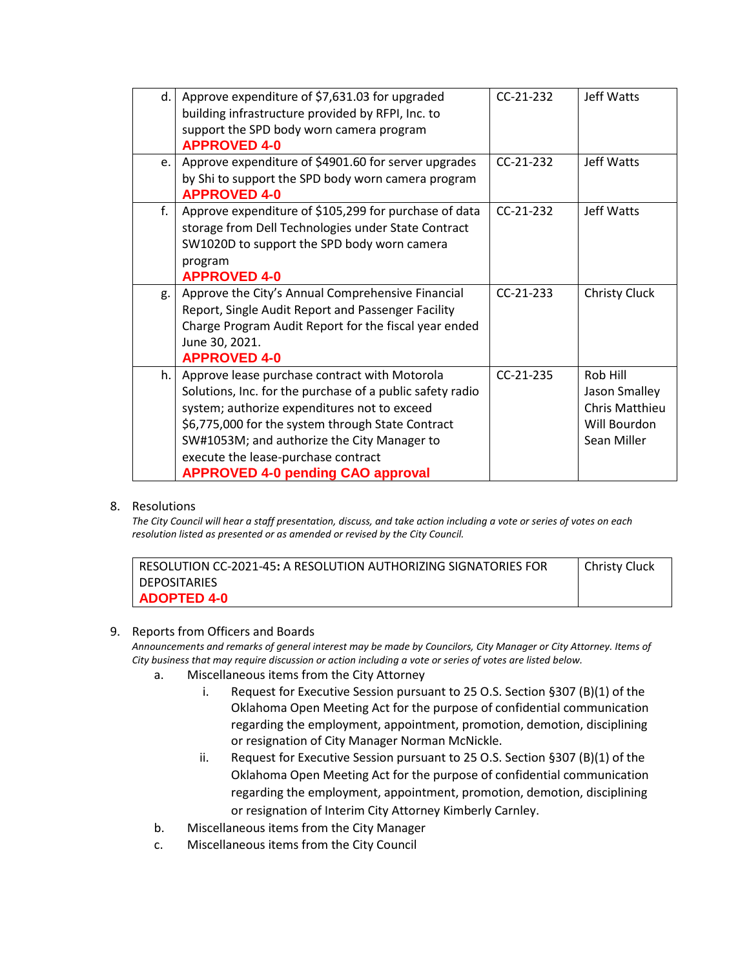| d. | Approve expenditure of \$7,631.03 for upgraded            | $CC-21-232$ | Jeff Watts            |
|----|-----------------------------------------------------------|-------------|-----------------------|
|    | building infrastructure provided by RFPI, Inc. to         |             |                       |
|    | support the SPD body worn camera program                  |             |                       |
|    | <b>APPROVED 4-0</b>                                       |             |                       |
| e. | Approve expenditure of \$4901.60 for server upgrades      | $CC-21-232$ | Jeff Watts            |
|    | by Shi to support the SPD body worn camera program        |             |                       |
|    | <b>APPROVED 4-0</b>                                       |             |                       |
| f. | Approve expenditure of \$105,299 for purchase of data     | $CC-21-232$ | Jeff Watts            |
|    | storage from Dell Technologies under State Contract       |             |                       |
|    | SW1020D to support the SPD body worn camera               |             |                       |
|    | program                                                   |             |                       |
|    | <b>APPROVED 4-0</b>                                       |             |                       |
| g. | Approve the City's Annual Comprehensive Financial         | $CC-21-233$ | <b>Christy Cluck</b>  |
|    | Report, Single Audit Report and Passenger Facility        |             |                       |
|    | Charge Program Audit Report for the fiscal year ended     |             |                       |
|    | June 30, 2021.                                            |             |                       |
|    | <b>APPROVED 4-0</b>                                       |             |                       |
| h. | Approve lease purchase contract with Motorola             | $CC-21-235$ | Rob Hill              |
|    | Solutions, Inc. for the purchase of a public safety radio |             | Jason Smalley         |
|    | system; authorize expenditures not to exceed              |             | <b>Chris Matthieu</b> |
|    | \$6,775,000 for the system through State Contract         |             | Will Bourdon          |
|    | SW#1053M; and authorize the City Manager to               |             | Sean Miller           |
|    | execute the lease-purchase contract                       |             |                       |
|    | <b>APPROVED 4-0 pending CAO approval</b>                  |             |                       |

### 8. Resolutions

*The City Council will hear a staff presentation, discuss, and take action including a vote or series of votes on each resolution listed as presented or as amended or revised by the City Council.* 

| l RESOLUTION CC-2021-45: A RESOLUTION AUTHORIZING SIGNATORIES FOR | Christy Cluck |
|-------------------------------------------------------------------|---------------|
| I DEPOSITARIES                                                    |               |
| ADOPTED 4-0                                                       |               |

### 9. Reports from Officers and Boards

*Announcements and remarks of general interest may be made by Councilors, City Manager or City Attorney. Items of City business that may require discussion or action including a vote or series of votes are listed below.*

- a. Miscellaneous items from the City Attorney
	- i. Request for Executive Session pursuant to 25 O.S. Section §307 (B)(1) of the Oklahoma Open Meeting Act for the purpose of confidential communication regarding the employment, appointment, promotion, demotion, disciplining or resignation of City Manager Norman McNickle.
	- ii. Request for Executive Session pursuant to 25 O.S. Section §307 (B)(1) of the Oklahoma Open Meeting Act for the purpose of confidential communication regarding the employment, appointment, promotion, demotion, disciplining or resignation of Interim City Attorney Kimberly Carnley.
- b. Miscellaneous items from the City Manager
- c. Miscellaneous items from the City Council